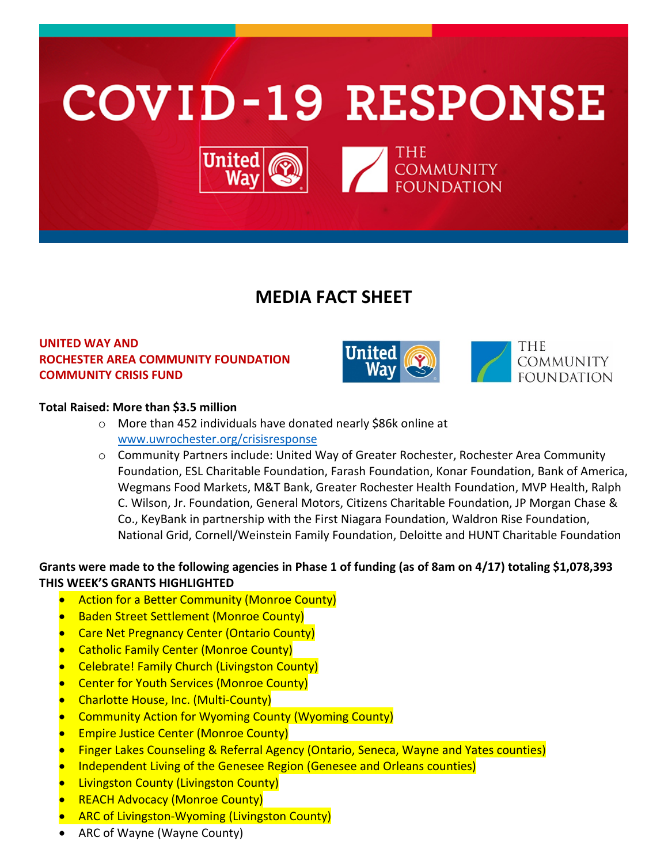

# **MEDIA FACT SHEET**

## **UNITED WAY AND ROCHESTER AREA COMMUNITY FOUNDATION COMMUNITY CRISIS FUND**





## **Total Raised: More than \$3.5 million**

- o More than 452 individuals have donated nearly \$86k online at [www.uwrochester.org/crisisresponse](http://www.uwrochester.org/crisisresponse)
- o Community Partners include: United Way of Greater Rochester, Rochester Area Community Foundation, ESL Charitable Foundation, Farash Foundation, Konar Foundation, Bank of America, Wegmans Food Markets, M&T Bank, Greater Rochester Health Foundation, MVP Health, Ralph C. Wilson, Jr. Foundation, General Motors, Citizens Charitable Foundation, JP Morgan Chase & Co., KeyBank in partnership with the First Niagara Foundation, Waldron Rise Foundation, National Grid, Cornell/Weinstein Family Foundation, Deloitte and HUNT Charitable Foundation

## **Grants were made to the following agencies in Phase 1 of funding (as of 8am on 4/17) totaling \$1,078,393 THIS WEEK'S GRANTS HIGHLIGHTED**

- Action for a Better Community (Monroe County)
- Baden Street Settlement (Monroe County)
- Care Net Pregnancy Center (Ontario County)
- Catholic Family Center (Monroe County)
- Celebrate! Family Church (Livingston County)
- **Center for Youth Services (Monroe County)**
- Charlotte House, Inc. (Multi-County)
- Community Action for Wyoming County (Wyoming County)
- **Empire Justice Center (Monroe County)**
- Finger Lakes Counseling & Referral Agency (Ontario, Seneca, Wayne and Yates counties)
- Independent Living of the Genesee Region (Genesee and Orleans counties)
- **Livingston County (Livingston County)**
- REACH Advocacy (Monroe County)
- ARC of Livingston-Wyoming (Livingston County)
- ARC of Wayne (Wayne County)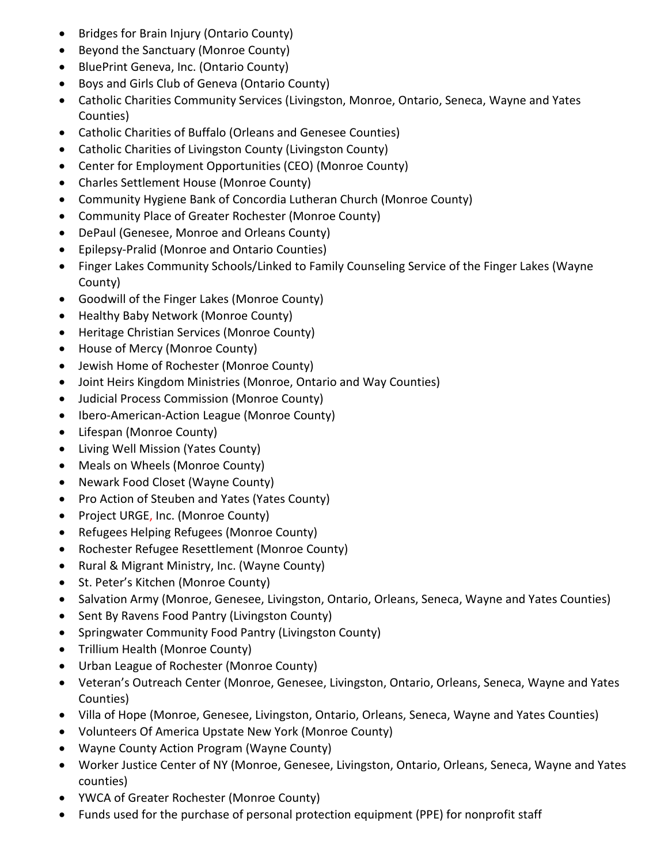- Bridges for Brain Injury (Ontario County)
- Beyond the Sanctuary (Monroe County)
- BluePrint Geneva, Inc. (Ontario County)
- Boys and Girls Club of Geneva (Ontario County)
- Catholic Charities Community Services (Livingston, Monroe, Ontario, Seneca, Wayne and Yates Counties)
- Catholic Charities of Buffalo (Orleans and Genesee Counties)
- Catholic Charities of Livingston County (Livingston County)
- Center for Employment Opportunities (CEO) (Monroe County)
- Charles Settlement House (Monroe County)
- Community Hygiene Bank of Concordia Lutheran Church (Monroe County)
- Community Place of Greater Rochester (Monroe County)
- DePaul (Genesee, Monroe and Orleans County)
- Epilepsy-Pralid (Monroe and Ontario Counties)
- Finger Lakes Community Schools/Linked to Family Counseling Service of the Finger Lakes (Wayne County)
- Goodwill of the Finger Lakes (Monroe County)
- Healthy Baby Network (Monroe County)
- Heritage Christian Services (Monroe County)
- House of Mercy (Monroe County)
- Jewish Home of Rochester (Monroe County)
- Joint Heirs Kingdom Ministries (Monroe, Ontario and Way Counties)
- Judicial Process Commission (Monroe County)
- Ibero-American-Action League (Monroe County)
- Lifespan (Monroe County)
- Living Well Mission (Yates County)
- Meals on Wheels (Monroe County)
- Newark Food Closet (Wayne County)
- Pro Action of Steuben and Yates (Yates County)
- Project URGE, Inc. (Monroe County)
- Refugees Helping Refugees (Monroe County)
- Rochester Refugee Resettlement (Monroe County)
- Rural & Migrant Ministry, Inc. (Wayne County)
- St. Peter's Kitchen (Monroe County)
- Salvation Army (Monroe, Genesee, Livingston, Ontario, Orleans, Seneca, Wayne and Yates Counties)
- Sent By Ravens Food Pantry (Livingston County)
- Springwater Community Food Pantry (Livingston County)
- Trillium Health (Monroe County)
- Urban League of Rochester (Monroe County)
- Veteran's Outreach Center (Monroe, Genesee, Livingston, Ontario, Orleans, Seneca, Wayne and Yates Counties)
- Villa of Hope (Monroe, Genesee, Livingston, Ontario, Orleans, Seneca, Wayne and Yates Counties)
- Volunteers Of America Upstate New York (Monroe County)
- Wayne County Action Program (Wayne County)
- Worker Justice Center of NY (Monroe, Genesee, Livingston, Ontario, Orleans, Seneca, Wayne and Yates counties)
- YWCA of Greater Rochester (Monroe County)
- Funds used for the purchase of personal protection equipment (PPE) for nonprofit staff